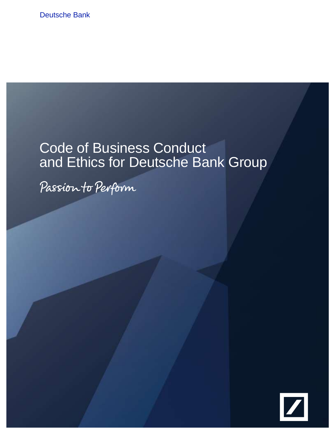Deutsche Bank

# Code of Business Conduct and Ethics for Deutsche Bank Group

Passion to Perform

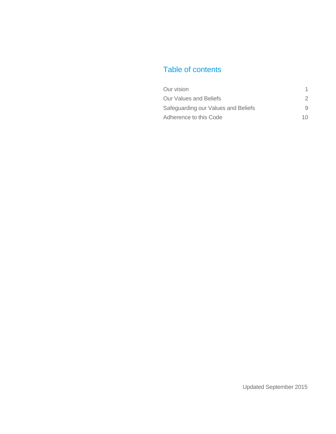# Table of contents

| Our vision                          |    |
|-------------------------------------|----|
| <b>Our Values and Beliefs</b>       | 2  |
| Safeguarding our Values and Beliefs | 9  |
| Adherence to this Code              | 10 |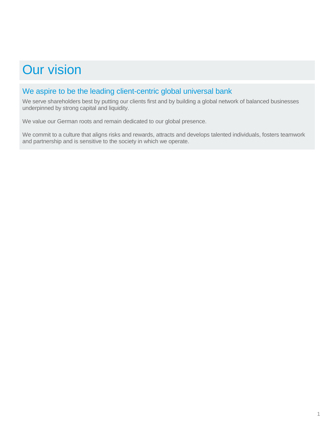# Our vision

## We aspire to be the leading client-centric global universal bank

We serve shareholders best by putting our clients first and by building a global network of balanced businesses underpinned by strong capital and liquidity.

We value our German roots and remain dedicated to our global presence.

We commit to a culture that aligns risks and rewards, attracts and develops talented individuals, fosters teamwork and partnership and is sensitive to the society in which we operate.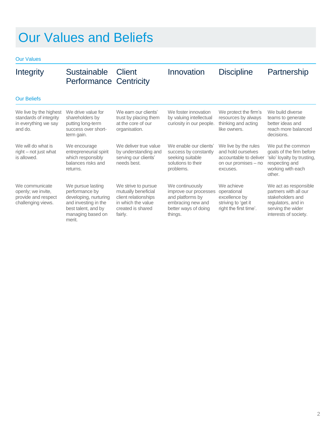Our Values

| Integrity                                                                           | Sustainable Client<br><b>Performance Centricity</b>                                                                                        |                                                                                                                          | Innovation                                                                                                           | <b>Discipline</b>                                                                                        | Partnership                                                                                                                            |
|-------------------------------------------------------------------------------------|--------------------------------------------------------------------------------------------------------------------------------------------|--------------------------------------------------------------------------------------------------------------------------|----------------------------------------------------------------------------------------------------------------------|----------------------------------------------------------------------------------------------------------|----------------------------------------------------------------------------------------------------------------------------------------|
| <b>Our Beliefs</b>                                                                  |                                                                                                                                            |                                                                                                                          |                                                                                                                      |                                                                                                          |                                                                                                                                        |
| We live by the highest<br>standards of integrity<br>in everything we say<br>and do. | We drive value for<br>shareholders by<br>putting long-term<br>success over short-<br>term gain.                                            | We earn our clients'<br>trust by placing them<br>at the core of our<br>organisation.                                     | We foster innovation<br>by valuing intellectual<br>curiosity in our people.                                          | We protect the firm's<br>resources by always<br>thinking and acting<br>like owners.                      | We build diverse<br>teams to generate<br>better ideas and<br>reach more balanced<br>decisions.                                         |
| We will do what is<br>right – not just what<br>is allowed.                          | We encourage<br>entrepreneurial spirit<br>which responsibly<br>balances risks and<br>returns.                                              | We deliver true value<br>by understanding and<br>serving our clients'<br>needs best.                                     | We enable our clients'<br>success by constantly<br>seeking suitable<br>solutions to their<br>problems.               | We live by the rules<br>and hold ourselves<br>accountable to deliver<br>on our promises - no<br>excuses. | We put the common<br>goals of the firm before<br>'silo' loyalty by trusting,<br>respecting and<br>working with each<br>other.          |
| We communicate<br>openly; we invite,<br>provide and respect<br>challenging views.   | We pursue lasting<br>performance by<br>developing, nurturing<br>and investing in the<br>best talent, and by<br>managing based on<br>merit. | We strive to pursue<br>mutually beneficial<br>client relationships<br>in which the value<br>created is shared<br>fairly. | We continuously<br>improve our processes<br>and platforms by<br>embracing new and<br>better ways of doing<br>things. | We achieve<br>operational<br>excellence by<br>striving to 'get it<br>right the first time'.              | We act as responsible<br>partners with all our<br>stakeholders and<br>regulators, and in<br>serving the wider<br>interests of society. |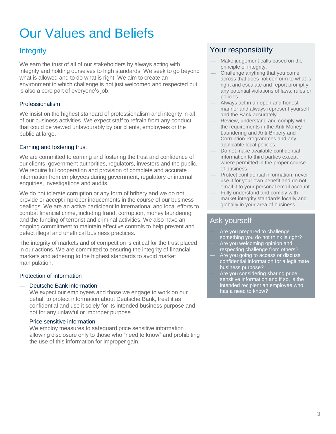We earn the trust of all of our stakeholders by always acting with integrity and holding ourselves to high standards. We seek to go beyond what is allowed and to do what is right. We aim to create an environment in which challenge is not just welcomed and respected but is also a core part of everyone's job.

### Professionalism

We insist on the highest standard of professionalism and integrity in all of our business activities. We expect staff to refrain from any conduct that could be viewed unfavourably by our clients, employees or the public at large.

### Earning and fostering trust

We are committed to earning and fostering the trust and confidence of our clients, government authorities, regulators, investors and the public. We require full cooperation and provision of complete and accurate information from employees during government, regulatory or internal enquiries, investigations and audits.

We do not tolerate corruption or any form of bribery and we do not provide or accept improper inducements in the course of our business dealings. We are an active participant in international and local efforts to combat financial crime, including fraud, corruption, money laundering and the funding of terrorist and criminal activities. We also have an ongoing commitment to maintain effective controls to help prevent and detect illegal and unethical business practices.

The integrity of markets and of competition is critical for the trust placed in our actions. We are committed to ensuring the integrity of financial markets and adhering to the highest standards to avoid market manipulation.

### Protection of information

### — Deutsche Bank information

We expect our employees and those we engage to work on our behalf to protect information about Deutsche Bank, treat it as confidential and use it solely for its intended business purpose and not for any unlawful or improper purpose.

#### — Price sensitive information

We employ measures to safeguard price sensitive information allowing disclosure only to those who "need to know" and prohibiting the use of this information for improper gain.

# Integrity **Integrity Integrity** *Property Property Property Property Property Property Property Property Property Property Property Property Property Property Prop*

- Make judgement calls based on the principle of integrity.
- Challenge anything that you come across that does not conform to what is right and escalate and report promptly any potential violations of laws, rules or policies.
- Always act in an open and honest manner and always represent yourself and the Bank accurately.
- Review, understand and comply with the requirements in the Anti-Money Laundering and Anti-Bribery and Corruption Programmes and any applicable local policies.
- Do not make available confidential information to third parties except where permitted in the proper course of business.
- Protect confidential information, never use it for your own benefit and do not email it to your personal email account.
- Fully understand and comply with market integrity standards locally and globally in your area of business.

- Are you prepared to challenge something you do not think is right?
- Are you welcoming opinion and respecting challenge from others?
- Are you going to access or discuss confidential information for a legitimate business purpose?
- Are you considering sharing price sensitive information and if so, is the intended recipient an employee who has a need to know?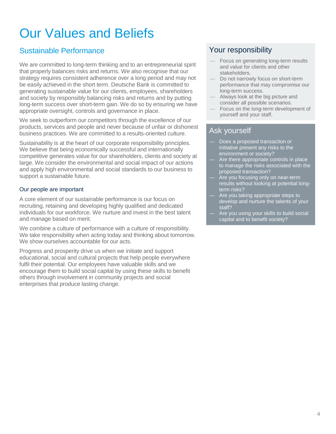# Sustainable Performance **Your responsibility**

We are committed to long-term thinking and to an entrepreneurial spirit that properly balances risks and returns. We also recognise that our strategy requires consistent adherence over a long period and may not be easily achieved in the short term. Deutsche Bank is committed to generating sustainable value for our clients, employees, shareholders and society by responsibly balancing risks and returns and by putting long-term success over short-term gain. We do so by ensuring we have appropriate oversight, controls and governance in place.

We seek to outperform our competitors through the excellence of our products, services and people and never because of unfair or dishonest business practices. We are committed to a results-oriented culture.

Sustainability is at the heart of our corporate responsibility principles. We believe that being economically successful and internationally competitive generates value for our shareholders, clients and society at large. We consider the environmental and social impact of our actions and apply high environmental and social standards to our business to support a sustainable future.

### Our people are important

A core element of our sustainable performance is our focus on recruiting, retaining and developing highly qualified and dedicated individuals for our workforce. We nurture and invest in the best talent and manage based on merit.

We combine a culture of performance with a culture of responsibility. We take responsibility when acting today and thinking about tomorrow. We show ourselves accountable for our acts.

Progress and prosperity drive us when we initiate and support educational, social and cultural projects that help people everywhere fulfil their potential. Our employees have valuable skills and we encourage them to build social capital by using these skills to benefit others through involvement in community projects and social enterprises that produce lasting change.

- Focus on generating long-term results and value for clients and other stakeholders.
- Do not narrowly focus on short-term performance that may compromise our long-term success.
- Always look at the big picture and consider all possible scenarios.
- Focus on the long-term development of yourself and your staff.

- Does a proposed transaction or initiative present any risks to the environment or society?
- Are there appropriate controls in place to manage the risks associated with the proposed transaction?
- Are you focusing only on near-term results without looking at potential longterm risks?
- Are you taking appropriate steps to develop and nurture the talents of your staff?
- Are you using your skills to build social capital and to benefit society?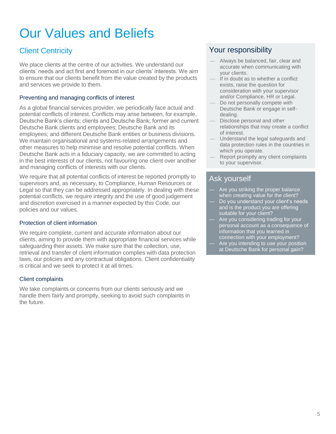We place clients at the centre of our activities. We understand our clients' needs and act first and foremost in our clients' interests. We aim to ensure that our clients benefit from the value created by the products and services we provide to them.

### Preventing and managing conflicts of interest

As a global financial services provider, we periodically face actual and potential conflicts of interest. Conflicts may arise between, for example, Deutsche Bank's clients; clients and Deutsche Bank; former and current Deutsche Bank clients and employees; Deutsche Bank and its employees; and different Deutsche Bank entities or business divisions. We maintain organisational and systems-related arrangements and other measures to help minimise and resolve potential conflicts. When Deutsche Bank acts in a fiduciary capacity, we are committed to acting in the best interests of our clients, not favouring one client over another and managing conflicts of interests with our clients.

We require that all potential conflicts of interest be reported promptly to supervisors and, as necessary, to Compliance, Human Resources or Legal so that they can be addressed appropriately. In dealing with these potential conflicts, we require integrity and the use of good judgement and discretion exercised in a manner expected by this Code, our policies and our values.

#### Protection of client information

We require complete, current and accurate information about our clients, aiming to provide them with appropriate financial services while safeguarding their assets. We make sure that the collection, use, retrieval and transfer of client information complies with data protection laws, our policies and any contractual obligations. Client confidentiality is critical and we seek to protect it at all times.

### Client complaints

We take complaints or concerns from our clients seriously and we handle them fairly and promptly, seeking to avoid such complaints in the future.

### **Client Centricity Client Centricity**

- Always be balanced, fair, clear and accurate when communicating with your clients.
- If in doubt as to whether a conflict exists, raise the question for consideration with your supervisor and/or Compliance, HR or Legal.
- Do not personally compete with Deutsche Bank or engage in selfdealing.
- Disclose personal and other relationships that may create a conflict of interest.
- Understand the legal safeguards and data protection rules in the countries in which you operate.
- Report promptly any client complaints to your supervisor.

- Are you striking the proper balance when creating value for the client?
- Do you understand your client's needs and is the product you are offering suitable for your client?
- Are you considering trading for your personal account as a consequence of information that you learned in connection with your employment?
- Are you intending to use your position at Deutsche Bank for personal gain?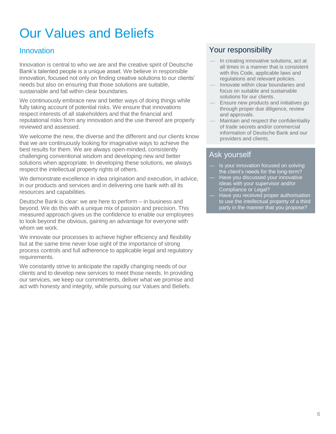Innovation is central to who we are and the creative spirit of Deutsche Bank's talented people is a unique asset. We believe in responsible innovation, focused not only on finding creative solutions to our clients' needs but also on ensuring that those solutions are suitable, sustainable and fall within clear boundaries.

We continuously embrace new and better ways of doing things while fully taking account of potential risks. We ensure that innovations respect interests of all stakeholders and that the financial and reputational risks from any innovation and the use thereof are properly reviewed and assessed.

We welcome the new, the diverse and the different and our clients know that we are continuously looking for imaginative ways to achieve the best results for them. We are always open-minded, consistently challenging conventional wisdom and developing new and better solutions when appropriate. In developing these solutions, we always respect the intellectual property rights of others.

We demonstrate excellence in idea origination and execution, in advice, in our products and services and in delivering one bank with all its resources and capabilities.

Deutsche Bank is clear: we are here to perform – in business and beyond. We do this with a unique mix of passion and precision. This measured approach gives us the confidence to enable our employees to look beyond the obvious, gaining an advantage for everyone with whom we work.

We innovate our processes to achieve higher efficiency and flexibility but at the same time never lose sight of the importance of strong process controls and full adherence to applicable legal and regulatory requirements.

We constantly strive to anticipate the rapidly changing needs of our clients and to develop new services to meet those needs. In providing our services, we keep our commitments, deliver what we promise and act with honesty and integrity, while pursuing our Values and Beliefs.

# **Innovation Innovation** *Innovation Pour responsibility*

- In creating innovative solutions, act at all times in a manner that is consistent with this Code, applicable laws and regulations and relevant policies.
- Innovate within clear boundaries and focus on suitable and sustainable solutions for our clients.
- Ensure new products and initiatives go through proper due diligence, review and approvals.
- Maintain and respect the confidentiality of trade secrets and/or commercial information of Deutsche Bank and our providers and clients.

- Is your innovation focused on solving the client's needs for the long-term?
- Have you discussed your innovative ideas with your supervisor and/or Compliance or Legal?
- Have you received proper authorisation to use the intellectual property of a third party in the manner that you propose?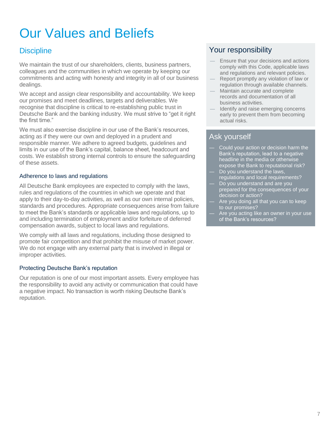We maintain the trust of our shareholders, clients, business partners, colleagues and the communities in which we operate by keeping our commitments and acting with honesty and integrity in all of our business dealings.

We accept and assign clear responsibility and accountability. We keep our promises and meet deadlines, targets and deliverables. We recognise that discipline is critical to re-establishing public trust in Deutsche Bank and the banking industry. We must strive to "get it right the first time."

We must also exercise discipline in our use of the Bank's resources, acting as if they were our own and deployed in a prudent and responsible manner. We adhere to agreed budgets, guidelines and limits in our use of the Bank's capital, balance sheet, headcount and costs. We establish strong internal controls to ensure the safeguarding of these assets.

#### Adherence to laws and regulations

All Deutsche Bank employees are expected to comply with the laws, rules and regulations of the countries in which we operate and that apply to their day-to-day activities, as well as our own internal policies, standards and procedures. Appropriate consequences arise from failure to meet the Bank's standards or applicable laws and regulations, up to and including termination of employment and/or forfeiture of deferred compensation awards, subject to local laws and regulations.

We comply with all laws and regulations, including those designed to promote fair competition and that prohibit the misuse of market power. We do not engage with any external party that is involved in illegal or improper activities.

### Protecting Deutsche Bank's reputation

Our reputation is one of our most important assets. Every employee has the responsibility to avoid any activity or communication that could have a negative impact. No transaction is worth risking Deutsche Bank's reputation.

## **Discipline Vour responsibility**

- Ensure that your decisions and actions comply with this Code, applicable laws and regulations and relevant policies.
- Report promptly any violation of law or regulation through available channels.
- Maintain accurate and complete records and documentation of all business activities.
- Identify and raise emerging concerns early to prevent them from becoming actual risks.

- Could your action or decision harm the Bank's reputation, lead to a negative headline in the media or otherwise expose the Bank to reputational risk? Do you understand the laws,
- regulations and local requirements? Do you understand and are you
- prepared for the consequences of your decision or action?
- Are you doing all that you can to keep to our promises?
- Are you acting like an owner in your use of the Bank's resources?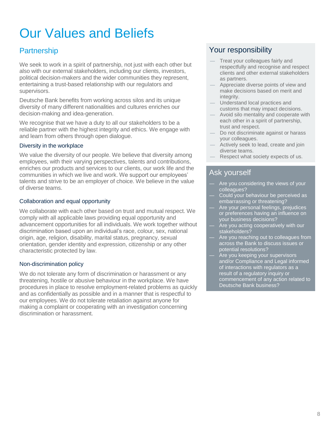We seek to work in a spirit of partnership, not just with each other but also with our external stakeholders, including our clients, investors, political decision-makers and the wider communities they represent, entertaining a trust-based relationship with our regulators and supervisors.

Deutsche Bank benefits from working across silos and its unique diversity of many different nationalities and cultures enriches our decision-making and idea-generation.

We recognise that we have a duty to all our stakeholders to be a reliable partner with the highest integrity and ethics. We engage with and learn from others through open dialogue.

#### Diversity in the workplace

We value the diversity of our people. We believe that diversity among employees, with their varying perspectives, talents and contributions, enriches our products and services to our clients, our work life and the communities in which we live and work. We support our employees' talents and strive to be an employer of choice. We believe in the value of diverse teams.

#### Collaboration and equal opportunity

We collaborate with each other based on trust and mutual respect. We comply with all applicable laws providing equal opportunity and advancement opportunities for all individuals. We work together without discrimination based upon an individual's race, colour, sex, national origin, age, religion, disability, marital status, pregnancy, sexual orientation, gender identity and expression, citizenship or any other characteristic protected by law.

### Non-discrimination policy

We do not tolerate any form of discrimination or harassment or any threatening, hostile or abusive behaviour in the workplace. We have procedures in place to resolve employment-related problems as quickly and as confidentially as possible and in a manner that is respectful to our employees. We do not tolerate retaliation against anyone for making a complaint or cooperating with an investigation concerning discrimination or harassment.

## Partnership **Partnership Partnership Partnership Partnership Partnership**

- Treat your colleagues fairly and respectfully and recognise and respect clients and other external stakeholders as partners.
- Appreciate diverse points of view and make decisions based on merit and integrity.
- Understand local practices and customs that may impact decisions.
- Avoid silo mentality and cooperate with each other in a spirit of partnership, trust and respect.
- Do not discriminate against or harass your colleagues.
- Actively seek to lead, create and join diverse teams.
- Respect what society expects of us.

- Are you considering the views of your colleagues?
- Could your behaviour be perceived as embarrassing or threatening?
- Are your personal feelings, prejudices or preferences having an influence on your business decisions?
- Are you acting cooperatively with our stakeholders?
- Are you reaching out to colleagues from across the Bank to discuss issues or potential resolutions?
- Are you keeping your supervisors and/or Compliance and Legal informed of interactions with regulators as a result of a regulatory inquiry or commencement of any action related to Deutsche Bank business?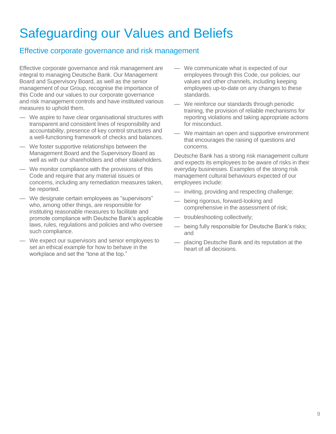# Safeguarding our Values and Beliefs

## Effective corporate governance and risk management

Effective corporate governance and risk management are integral to managing Deutsche Bank. Our Management Board and Supervisory Board, as well as the senior management of our Group, recognise the importance of this Code and our values to our corporate governance and risk management controls and have instituted various measures to uphold them.

- We aspire to have clear organisational structures with transparent and consistent lines of responsibility and accountability, presence of key control structures and a well-functioning framework of checks and balances.
- We foster supportive relationships between the Management Board and the Supervisory Board as well as with our shareholders and other stakeholders.
- We monitor compliance with the provisions of this Code and require that any material issues or concerns, including any remediation measures taken, be reported.
- We designate certain employees as "supervisors" who, among other things, are responsible for instituting reasonable measures to facilitate and promote compliance with Deutsche Bank's applicable laws, rules, regulations and policies and who oversee such compliance.
- We expect our supervisors and senior employees to set an ethical example for how to behave in the workplace and set the "tone at the top."
- We communicate what is expected of our employees through this Code, our policies, our values and other channels, including keeping employees up-to-date on any changes to these standards.
- We reinforce our standards through periodic training, the provision of reliable mechanisms for reporting violations and taking appropriate actions for misconduct.
- We maintain an open and supportive environment that encourages the raising of questions and concerns.

Deutsche Bank has a strong risk management culture and expects its employees to be aware of risks in their everyday businesses. Examples of the strong risk management cultural behaviours expected of our employees include:

- inviting, providing and respecting challenge;
- being rigorous, forward-looking and comprehensive in the assessment of risk;
- troubleshooting collectively;
- being fully responsible for Deutsche Bank's risks; and
- placing Deutsche Bank and its reputation at the heart of all decisions.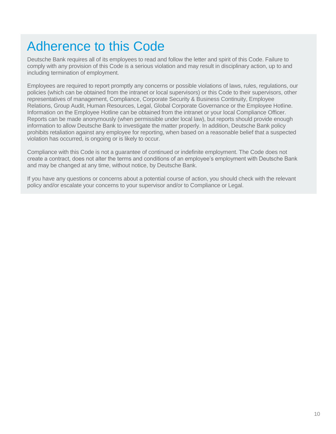# Adherence to this Code

Deutsche Bank requires all of its employees to read and follow the letter and spirit of this Code. Failure to comply with any provision of this Code is a serious violation and may result in disciplinary action, up to and including termination of employment.

Employees are required to report promptly any concerns or possible violations of laws, rules, regulations, our policies (which can be obtained from the intranet or local supervisors) or this Code to their supervisors, other representatives of management, Compliance, Corporate Security & Business Continuity, Employee Relations, Group Audit, Human Resources, Legal, Global Corporate Governance or the Employee Hotline. Information on the Employee Hotline can be obtained from the intranet or your local Compliance Officer. Reports can be made anonymously (when permissible under local law), but reports should provide enough information to allow Deutsche Bank to investigate the matter properly. In addition, Deutsche Bank policy prohibits retaliation against any employee for reporting, when based on a reasonable belief that a suspected violation has occurred, is ongoing or is likely to occur.

Compliance with this Code is not a guarantee of continued or indefinite employment. The Code does not create a contract, does not alter the terms and conditions of an employee's employment with Deutsche Bank and may be changed at any time, without notice, by Deutsche Bank.

If you have any questions or concerns about a potential course of action, you should check with the relevant policy and/or escalate your concerns to your supervisor and/or to Compliance or Legal.